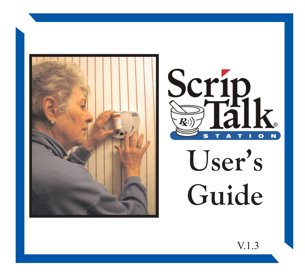



User's Guide

V.1.3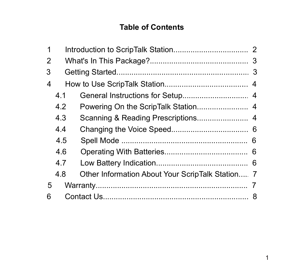# **Table of Contents**

| 1 |     |                                                  |  |
|---|-----|--------------------------------------------------|--|
| 2 |     |                                                  |  |
| 3 |     |                                                  |  |
| 4 |     |                                                  |  |
|   | 4.1 |                                                  |  |
|   | 4.2 |                                                  |  |
|   | 4.3 |                                                  |  |
|   | 4.4 |                                                  |  |
|   | 4.5 |                                                  |  |
|   | 4.6 |                                                  |  |
|   | 4.7 |                                                  |  |
|   | 4.8 | Other Information About Your ScripTalk Station 7 |  |
| 5 |     |                                                  |  |
| 6 |     |                                                  |  |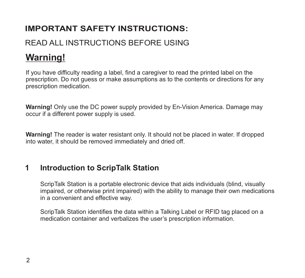# **IMPORTANT SAFETY INSTRUCTIONS:**

# READ ALL INSTRUCTIONS BEFORE USING

# **Warning!**

If you have difficulty reading a label, find a caregiver to read the printed label on the prescription. Do not guess or make assumptions as to the contents or directions for any prescription medication.

**Warning!** Only use the DC power supply provided by En-Vision America. Damage may occur if a different power supply is used.

**Warning!** The reader is water resistant only. It should not be placed in water. If dropped into water, it should be removed immediately and dried off.

#### **Introduction to ScripTalk Station 1**

ScripTalk Station is a portable electronic device that aids individuals (blind, visually impaired, or otherwise print impaired) with the ability to manage their own medications in a convenient and effective way.

ScripTalk Station identifies the data within a Talking Label or RFID tag placed on a medication container and verbalizes the user's prescription information.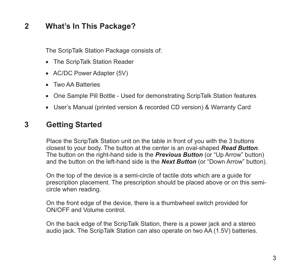#### **What's In This Package? 2**

The ScripTalk Station Package consists of:

- · The ScripTalk Station Reader
- AC/DC Power Adapter (5V)
- · Two AA Batteries
- · One Sample Pill Bottle Used for demonstrating ScripTalk Station features
- · User's Manual (printed version & recorded CD version) & Warranty Card

#### **Getting Started 3**

Place the ScripTalk Station unit on the table in front of you with the 3 buttons closest to your body. The button at the center is an oval-shaped *Read Button*. The button on the right-hand side is the *Previous Button* (or "Up Arrow" button) and the button on the left-hand side is the *Next Button* (or "Down Arrow" button).

On the top of the device is a semi-circle of tactile dots which are a guide for prescription placement. The prescription should be placed above or on this semicircle when reading.

On the front edge of the device, there is a thumbwheel switch provided for ON/OFF and Volume control.

On the back edge of the ScripTalk Station, there is a power jack and a stereo audio jack. The ScripTalk Station can also operate on two AA (1.5V) batteries.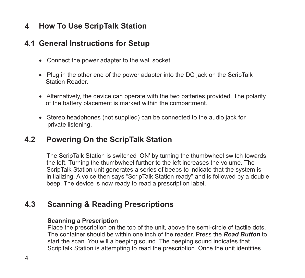#### **How To Use ScripTalk Station 4**

## **General Instructions for Setup 4.1**

- · Connect the power adapter to the wall socket.
- · Plug in the other end of the power adapter into the DC jack on the ScripTalk Station Reader.
- · Alternatively, the device can operate with the two batteries provided. The polarity of the battery placement is marked within the compartment.
- · Stereo headphones (not supplied) can be connected to the audio jack for private listening.

#### **Powering On the ScripTalk Station 4.2**

The ScripTalk Station is switched 'ON' by turning the thumbwheel switch towards the left. Turning the thumbwheel further to the left increases the volume. The ScripTalk Station unit generates a series of beeps to indicate that the system is initializing. A voice then says "ScripTalk Station ready" and is followed by a double beep. The device is now ready to read a prescription label.

#### **Scanning & Reading Prescriptions 4.3**

### **Scanning a Prescription**

Place the prescription on the top of the unit, above the semi-circle of tactile dots. The container should be within one inch of the reader. Press the *Read Button* to start the scan. You will a beeping sound. The beeping sound indicates that ScripTalk Station is attempting to read the prescription. Once the unit identifies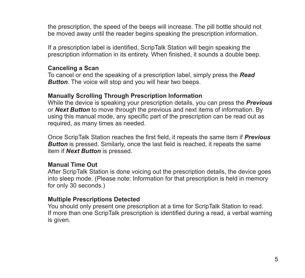the prescription, the speed of the beeps will increase. The pill bottle should not be moved away until the reader begins speaking the prescription information.

If a prescription label is identified, ScripTalk Station will begin speaking the prescription information in its entirety. When finished, it sounds a double beep.

### **Canceling a Scan**

To cancel or end the speaking of a prescription label, simply press the *Read Button*. The voice will stop and you will hear two beeps.

### **Manually Scrolling Through Prescription Information**

While the device is speaking your prescription details, you can press the *Previous* or *Next Button* to move through the previous and next items of information. By using this manual mode, any specific part of the prescription can be read out as required, as many times as needed.

Once ScripTalk Station reaches the first field, it repeats the same item if *Previous Button* is pressed. Similarly, once the last field is reached, it repeats the same item if *Next Button* is pressed.

### **Manual Time Out**

After ScripTalk Station is done voicing out the prescription details, the device goes into sleep mode. (Please note: Information for that prescription is held in memory for only 30 seconds.)

### **Multiple Prescriptions Detected**

You should only present one prescription at a time for ScripTalk Station to read. If more than one ScripTalk prescription is identified during a read, a verbal warning is given.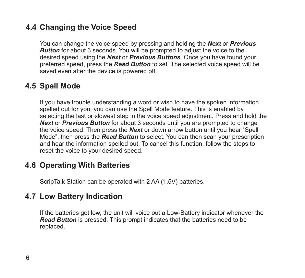# **Changing the Voice Speed 4.4**

You can change the voice speed by pressing and holding the *Next* or *Previous* **Button** for about 3 seconds. You will be prompted to adjust the voice to the desired speed using the *Next* or *Previous Buttons*. Once you have found your preferred speed, press the *Read Button* to set. The selected voice speed will be saved even after the device is powered off.

# **4.5 Spell Mode**

If you have trouble understanding a word or wish to have the spoken information spelled out for you, you can use the Spell Mode feature. This is enabled by selecting the last or slowest step in the voice speed adjustment. Press and hold the *Next* or *Previous Button* for about 3 seconds until you are prompted to change the voice speed. Then press the *Next* or down arrow button until you hear "Spell Mode", then press the *Read Button* to select. You can then scan your prescription and hear the information spelled out. To cancel this function, follow the steps to reset the voice to your desired speed.

# **Operating With Batteries 4.6**

ScripTalk Station can be operated with 2 AA (1.5V) batteries.

# **Low Battery Indication 4.7**

If the batteries get low, the unit will voice out a Low-Battery indicator whenever the *Read Button* is pressed. This prompt indicates that the batteries need to be replaced.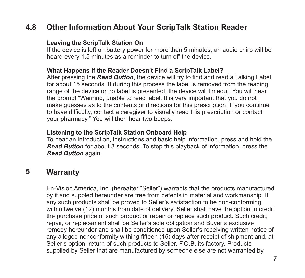#### **4.8 Other Information About Your ScripTalk Station Reader**

### **Leaving the ScripTalk Station On**

If the device is left on battery power for more than 5 minutes, an audio chirp will be heard every 1.5 minutes as a reminder to turn off the device.

### **What Happens if the Reader Doesn't Find a ScripTalk Label?**

After pressing the *Read Button*, the device will try to find and read a Talking Label for about 15 seconds. If during this process the label is removed from the reading range of the device or no label is presented, the device will timeout. You will hear the prompt "Warning, unable to read label. It is very important that you do not make guesses as to the contents or directions for this prescription. If you continue to have difficulty, contact a caregiver to visually read this prescription or contact your pharmacy." You will then hear two beeps.

### **Listening to the ScripTalk Station Onboard Help**

To hear an introduction, instructions and basic help information, press and hold the *Read Button* for about 3 seconds. To stop this playback of information, press the *Read Button* again.

#### **5 Warranty**

En-Vision America, Inc. (hereafter "Seller") warrants that the products manufactured by it and suppled hereunder are free from defects in material and workmanship. If any such products shall be proved to Seller's satisfaction to be non-conforming within twelve (12) months from date of delivery, Seller shall have the option to credit the purchase price of such product or repair or replace such product. Such credit, repair, or replacement shall be Seller's sole obligation and Buyer's exclusive remedy hereunder and shall be conditioned upon Seller's receiving written notice of any alleged nonconformity withing fifteen (15) days after receipt of shipment and, at Seller's option, return of such products to Seller, F.O.B. its factory. Products supplied by Seller that are manufactured by someone else are not warranted by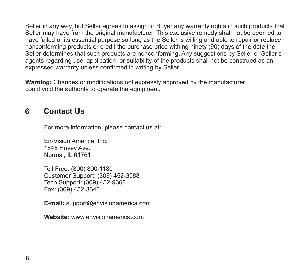Seller in any way, but Seller agrees to assign to Buyer any warranty rights in such products that Seller may have from the original manufacturer. This exclusive remedy shall not be deemed to have failed or its essential purpose so long as the Seller is willing and able to repair or replace nonconforming products or credit the purchase price withing ninety (90) days of the date the Seller determines that such products are nonconforming. Any suggestions by Seller or Seller's agents regarding use, application, or suitability of the products shall not be construed as an expressed warranty unless confirmed in writing by Seller.

**Warning:** Changes or modifications not expressly approved by the manufacturer could void the authority to operate the equipment.

# **6 Contact Us**

For more information, please contact us at:

En-Vision America, Inc. 1845 Hovey Ave. Normal, IL 61761

Toll Free: (800) 890-1180 Customer Support: (309) 452-3088 Tech Support: (309) 452-9368 Fax: (309) 452-3643

**E-mail:** support@envisionamerica.com

**Website:** www.envisionamerica.com